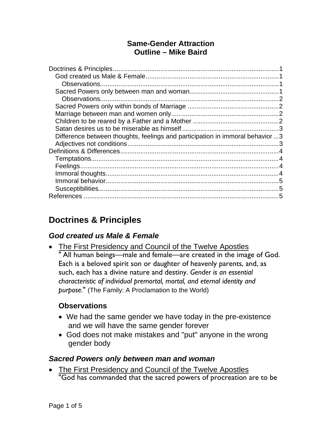### **Same-Gender Attraction Outline – Mike Baird**

| Difference between thoughts, feelings and participation in immoral behavior3 |  |
|------------------------------------------------------------------------------|--|
|                                                                              |  |
|                                                                              |  |
|                                                                              |  |
|                                                                              |  |
|                                                                              |  |
|                                                                              |  |
|                                                                              |  |
|                                                                              |  |

# **Doctrines & Principles**

### *God created us Male & Female*

• The First Presidency and Council of the Twelve Apostles " All human beings—male and female—are created in the image of God. Each is a beloved spirit son or daughter of heavenly parents, and, as such, each has a divine nature and destiny. *Gender is an essential characteristic of individual premortal, mortal, and eternal identity and purpose.*" (The Family: A Proclamation to the World)

### **Observations**

- We had the same gender we have today in the pre-existence and we will have the same gender forever
- God does not make mistakes and "put" anyone in the wrong gender body

#### *Sacred Powers only between man and woman*

• The First Presidency and Council of the Twelve Apostles "God has commanded that the sacred powers of procreation are to be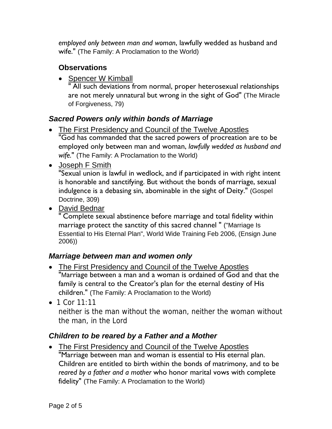*employed only between man and woman*, lawfully wedded as husband and wife." (The Family: A Proclamation to the World)

## **Observations**

• Spencer W Kimball

" All such deviations from normal, proper heterosexual relationships are not merely unnatural but wrong in the sight of God" (The Miracle of Forgiveness, 79)

# *Sacred Powers only within bonds of Marriage*

- The First Presidency and Council of the Twelve Apostles "God has commanded that the sacred powers of procreation are to be employed only between man and woman, *lawfully wedded as husband and wife.*" (The Family: A Proclamation to the World)
- Joseph F Smith

"Sexual union is lawful in wedlock, and if participated in with right intent is honorable and sanctifying. But without the bonds of marriage, sexual indulgence is a debasing sin, abominable in the sight of Deity." (Gospel Doctrine, 309)

• David Bednar

" Complete sexual abstinence before marriage and total fidelity within marriage protect the sanctity of this sacred channel " ("Marriage Is Essential to His Eternal Plan", World Wide Training Feb 2006, (Ensign June 2006))

## *Marriage between man and women only*

- The First Presidency and Council of the Twelve Apostles "Marriage between a man and a woman is ordained of God and that the family is central to the Creator's plan for the eternal destiny of His children." (The Family: A Proclamation to the World)
- 1 Cor  $11:11$

neither is the man without the woman, neither the woman without the man, in the Lord

## *Children to be reared by a Father and a Mother*

 The First Presidency and Council of the Twelve Apostles "Marriage between man and woman is essential to His eternal plan. Children are entitled to birth within the bonds of matrimony, and to be *reared by a father and a mother* who honor marital vows with complete fidelity" (The Family: A Proclamation to the World)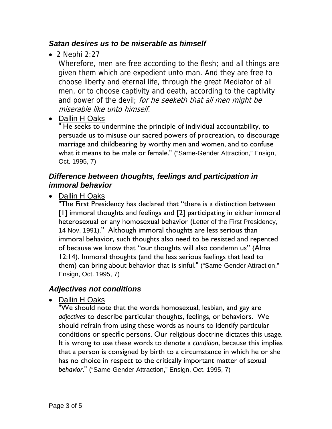#### *Satan desires us to be miserable as himself*

 $\bullet$  2 Nephi 2:27

Wherefore, men are free according to the flesh; and all things are given them which are expedient unto man. And they are free to choose liberty and eternal life, through the great Mediator of all men, or to choose captivity and death, according to the captivity and power of the devil; for he seeketh that all men might be miserable like unto himself.

• Dallin H Oaks

" He seeks to undermine the principle of individual accountability, to persuade us to misuse our sacred powers of procreation, to discourage marriage and childbearing by worthy men and women, and to confuse what it means to be male or female." ("Same-Gender Attraction," Ensign, Oct. 1995, 7)

#### *Difference between thoughts, feelings and participation in immoral behavior*

• Dallin H Oaks

"The First Presidency has declared that "there is a distinction between [1] immoral thoughts and feelings and [2] participating in either immoral heterosexual or any homosexual behavior (Letter of the First Presidency, 14 Nov. 1991)." Although immoral thoughts are less serious than immoral behavior, such thoughts also need to be resisted and repented of because we know that "our thoughts will also condemn us" (Alma 12:14). Immoral thoughts (and the less serious feelings that lead to them) can bring about behavior that is sinful." ("Same-Gender Attraction," Ensign, Oct. 1995, 7)

### *Adjectives not conditions*

• Dallin H Oaks

"We should note that the words homosexual, lesbian, and gay are *adjectives* to describe particular thoughts, feelings, or behaviors. We should refrain from using these words as nouns to identify particular conditions or specific persons. Our religious doctrine dictates this usage. It is wrong to use these words to denote a *condition*, because this implies that a person is consigned by birth to a circumstance in which he or she has no choice in respect to the critically important matter of sexual *behavior*." ("Same-Gender Attraction," Ensign, Oct. 1995, 7)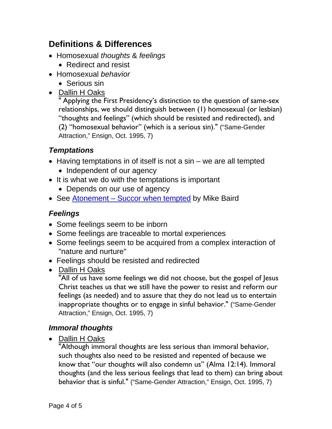# **Definitions & Differences**

- Homosexual *thoughts* & *feelings*
	- Redirect and resist
- Homosexual *behavior*
	- Serious sin
- Dallin H Oaks

" Applying the First Presidency's distinction to the question of same-sex relationships, we should distinguish between (1) homosexual (or lesbian) "thoughts and feelings" (which should be resisted and redirected), and (2) "homosexual behavior" (which is a serious sin)." ("Same-Gender Attraction," Ensign, Oct. 1995, 7)

### *Temptations*

- $\bullet$  Having temptations in of itself is not a sin we are all tempted
	- Independent of our agency
- It is what we do with the temptations is important
	- Depends on our use of agency
- See Atonement Succor when tempted by Mike Baird

## *Feelings*

- Some feelings seem to be inborn
- Some feelings are traceable to mortal experiences
- Some feelings seem to be acquired from a complex interaction of "nature and nurture"
- Feelings should be resisted and redirected
- Dallin H Oaks

"All of us have some feelings we did not choose, but the gospel of Jesus Christ teaches us that we still have the power to resist and reform our feelings (as needed) and to assure that they do not lead us to entertain inappropriate thoughts or to engage in sinful behavior." ("Same-Gender Attraction," Ensign, Oct. 1995, 7)

### *Immoral thoughts*

• Dallin H Oaks

"Although immoral thoughts are less serious than immoral behavior, such thoughts also need to be resisted and repented of because we know that "our thoughts will also condemn us" (Alma 12:14). Immoral thoughts (and the less serious feelings that lead to them) can bring about behavior that is sinful." ("Same-Gender Attraction," Ensign, Oct. 1995, 7)